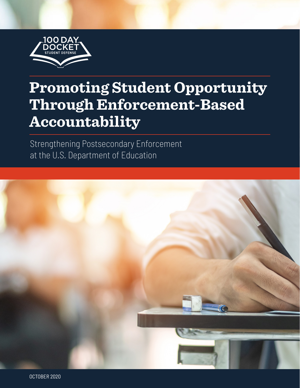

# **Promoting Student Opportunity Through Enforcement-Based Accountability**

Strengthening Postsecondary Enforcement at the U.S. Department of Education

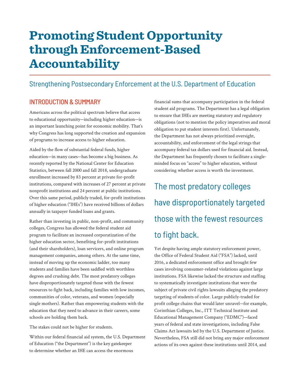## **Promoting Student Opportunity through Enforcement-Based Accountability**

## Strengthening Postsecondary Enforcement at the U.S. Department of Education

### INTRODUCTION & SUMMARY

Americans across the political spectrum believe that access to educational opportunity—including higher education—is an important launching point for economic mobility. That's why Congress has long supported the creation and expansion of programs to increase access to higher education.

Aided by the flow of substantial federal funds, higher education—in many cases—has become a big business. As recently reported by the [National Center for Education](https://nces.ed.gov/programs/coe/indicator_cha.asp)  [Statistics](https://nces.ed.gov/programs/coe/indicator_cha.asp), between fall 2000 and fall 2018, undergraduate enrollment increased by 83 percent at private for-profit institutions, compared with increases of 27 percent at private nonprofit institutions and 24 percent at public institutions. Over this same period, publicly traded, for-profit institutions of higher education ("IHEs") have received billions of dollars annually in taxpayer funded loans and grants.

Rather than investing in public, non-profit, and community colleges, Congress has allowed the federal student aid program to facilitate an increased corporatization of the higher education sector, benefiting for-profit institutions (and their shareholders), loan servicers, and online program management companies, among others. At the same time, instead of moving up the economic ladder, too many students and families have been saddled with worthless degrees and crushing debt. The most predatory colleges have disproportionately targeted those with the fewest resources to fight back, including families with low incomes, communities of color, veterans, and women (especially single mothers). Rather than empowering students with the education that they need to advance in their careers, some schools are holding them back.

The stakes could not be higher for students.

Within our federal financial aid system, the U.S. Department of Education ("the Department") is the key gatekeeper to determine whether an IHE can access the enormous

financial sums that accompany participation in the federal student aid programs. The Department has a legal obligation to ensure that IHEs are meeting statutory and regulatory obligations (not to mention the policy imperatives and moral obligation to put student interests first). Unfortunately, the Department has not always prioritized oversight, accountability, and enforcement of the legal strings that accompany federal tax dollars used for financial aid. Instead, the Department has frequently chosen to facilitate a singleminded focus on "access" to higher education, without considering whether access is worth the investment.

## The most predatory colleges have disproportionately targeted those with the fewest resources to fight back.

Yet despite having ample statutory enforcement power, the Office of Federal Student Aid ("FSA") lacked, until 2016, a dedicated enforcement office and brought few cases involving consumer-related violations against large institutions. FSA likewise lacked the structure and staffing to systematically investigate institutions that were the subject of private civil rights lawsuits alleging the predatory targeting of students of color. Large publicly-traded for profit college chains that would later unravel—for example, Corinthian Colleges, Inc., ITT Technical Institute and Educational Management Company ("EDMC")—faced years of federal and state investigations, including False Claims Act lawsuits led by the U.S. Department of Justice. Nevertheless, FSA still did not bring any major enforcement actions of its own against these institutions until 2014, and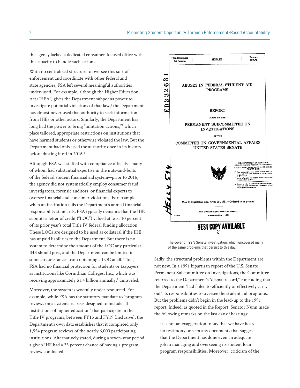<span id="page-2-0"></span>the agency lacked a dedicated consumer-focused office with the capacity to handle such actions.

With no centralized structure to oversee this sort of enforcement and coordinate with other federal and state agencies, FSA left several meaningful authorities under-used. For example, although the Higher Education Act ("HEA") gives the Department subpoena power to investigate potential violations of that law,<sup>1</sup> the Department has almost never used that authority to seek information from IHEs or other actors. Similarly, the Department has long had the power to bring "limitation actions,["2](#page-8-0) which place tailored, appropriate restrictions on institutions that have harmed students or otherwise violated the law. But the Department had only used the authority once in its history before dusting it off in 2016.<sup>[3](#page-8-0)</sup>

Although FSA was staffed with compliance officials—many of whom had substantial expertise in the nuts-and-bolts of the federal student financial aid system—prior to 2016, the agency did not systematically employ consumer fraud investigators, forensic auditors, or financial experts to oversee financial and consumer violations. For example, when an institution fails the Department's annual financial responsibility standards, FSA typically demands that the IHE submits a letter of credit ("LOC") valued at least 10 percent of its prior year's total Title IV federal funding allocation. These LOCs are designed to be used as collateral if the IHE has unpaid liabilities to the Department. But there is no system to determine the amount of the LOC any particular IHE should post, and the Department can be limited in some circumstances from obtaining a LOC at all. Thus, FSA had no financial protection for students or taxpayers as institutions like Corinthian Colleges, Inc., which was receiving approximately \$1.4 billion annually,<sup>4</sup> unraveled.

Moreover, the system is woefully under resourced. For example, while FSA has the statutory mandate to "program reviews on a systematic basis designed to include all institutions of higher education" that participate in the Title IV programs, between FY13 and FY19 (inclusive), the Department's own data establishes that it completed only 1,554 program reviews of the nearly 6,000 participating institutions. Alternatively stated, during a seven-year period, a given IHE had a 25 percent chance of having a program review conducted.



The cover of 1991's Senate Investigation, which uncovered many of the same problems that persist to this day.

Sadly, the structural problems within the Department are not new. In a 1991 bipartisan report of the U.S. Senate Permanent Subcommittee on Investigations, the Committee referred to the Department's "dismal record," concluding that the Department "had failed to efficiently or effectively carry out" its responsibilities to oversee the student aid programs. But the problems didn't begin in the lead-up to the 1991 report. Indeed, as quoted in the Report, Senator Nunn made the following remarks on the last day of hearings:

It is not an exaggeration to say that we have heard no testimony or seen any documents that suggest that the Department has done even an adequate job in managing and overseeing its student loan program responsibilities. Moreover, criticism of the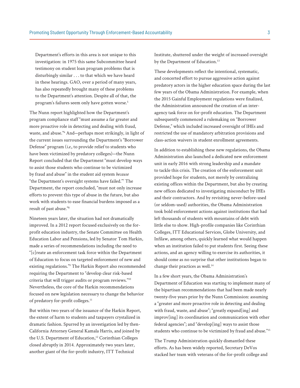<span id="page-3-0"></span>Department's efforts in this area is not unique to this investigation: in 1975 this same Subcommittee heard testimony on student loan program problems that is disturbingly similar . . . to that which we have heard in these hearings. GAO, over a period of many years, has also repeatedly brought many of these problems to the Department's attention. Despite all of that, the program's failures seem only have gotten worse.<sup>5</sup>

The Nunn report highlighted how the Department's program compliance staff "must assume a far greater and more proactive role in detecting and dealing with fraud, waste, and abuse.["6](#page-8-0) And—perhaps most strikingly, in light of the current issues surrounding the Department's "Borrower Defense" program (*i.e.*, to provide relief to students who have been victimized by predatory colleges)—the Nunn Report concluded that the Department "must develop ways to assist those students who continue to be victimized by fraud and abuse" in the student aid system *because*  "the Department's oversight systems have failed."[7](#page-8-0) The Department, the report concluded, "must not only increase efforts to prevent this type of abuse in the future, but also work with students to ease financial burdens imposed as a result of past abuse.["8](#page-8-0)

Nineteen years later, the situation had not dramatically improved. In a 2012 report focused exclusively on the forprofit education industry, the Senate Committee on Health Education Labor and Pensions, led by Senator Tom Harkin, made a series of recommendations including the need to "[c]reate an enforcement task force within the Department of Education to focus on targeted enforcement of new and existing regulations."<sup>[9](#page-8-0)</sup> The Harkin Report also recommended requiring the Department to "develop clear risk-based criteria that will trigger audits or program reviews."[10](#page-8-0) Nevertheless, the core of the Harkin recommendations focused on new legislation necessary to change the behavior of predatory for-profit colleges.<sup>[11](#page-8-0)</sup>

But within two years of the issuance of the Harkin Report, the extent of harm to students and taxpayers crystalized in dramatic fashion. Spurred by an investigation led by then-California Attorney General Kamala Harris, and joined by the U.S. Department of Education,<sup>12</sup> Corinthian Colleges closed abruptly in 2014. Approximately two years later, another giant of the for-profit industry, ITT Technical

Institute, shuttered under the weight of increased oversight by the Department of Education.<sup>[13](#page-8-0)</sup>

These developments reflect the intentional, systematic, and concerted effort to pursue aggressive action against predatory actors in the higher education space during the last few years of the Obama Administration. For example, when the 2015 Gainful Employment regulations were finalized, the Administration announced the creation of an interagency task force on for-profit education. The Department subsequently commenced a rulemaking on "Borrower Defense," which included increased oversight of IHEs and restricted the use of mandatory arbitration provisions and class-action waivers in student enrollment agreements.

In addition to establishing these new regulations, the Obama Administration also launched a [dedicated new enforcement](https://www.washingtonpost.com/news/grade-point/wp/2016/02/08/theres-a-newish-cop-on-the-beat-as-department-of-education-launches-enforcement-unit/)  [unit](https://www.washingtonpost.com/news/grade-point/wp/2016/02/08/theres-a-newish-cop-on-the-beat-as-department-of-education-launches-enforcement-unit/) in early 2016 with strong leadership and a mandate to tackle this crisis. The creation of the enforcement unit provided hope for students, not merely by centralizing existing offices within the Department, but also by creating new offices dedicated to investigating misconduct by IHEs and their contractors. And by revisiting never-before-used (or seldom-used) authorities, the Obama Administration took bold enforcement actions against institutions that had left thousands of students with mountains of debt with little else to show. High-profile companies like Corinthian Colleges, ITT Educational Services, Globe University, and Infilaw, among others, quickly learned what would happen when an institution failed to put students first. Seeing these actions, and an agency willing to exercise its authorities, it should come as no surprise that other institutions began to change their practices as well.<sup>14</sup>

In a few short years, the Obama Administration's Department of Education was starting to implement many of the bipartisan recommendations that had been made nearly twenty-five years prior by the Nunn Commission: assuming a "greater and more proactive role in detecting and dealing with fraud, waste, and abuse"; "greatly expand[ing] and improv[ing] its coordination and communication with other federal agencies"; and "develop[ing] ways to assist those students who continue to be victimized by fraud and abuse."[15](#page-8-0)

The Trump Administration quickly dismantled these efforts. As has been widely reported, Secretary DeVos stacked her team with veterans of the for-profit college and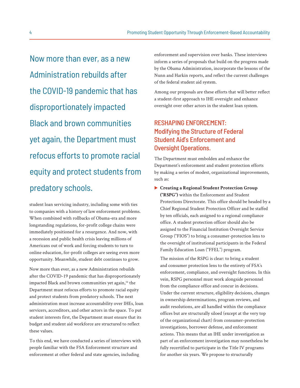<span id="page-4-0"></span>Now more than ever, as a new Administration rebuilds after the COVID-19 pandemic that has disproportionately impacted Black and brown communities yet again, the Department must refocus efforts to promote racial equity and protect students from predatory schools.

student loan servicing industry, including some with ties to companies with a history of law enforcement problems. When combined with rollbacks of Obama-era and more longstanding regulations, for-profit college chains were immediately positioned for a resurgence. And now, with a recession and public health crisis leaving millions of Americans out of work and forcing students to turn to online education, for-profit colleges are seeing even more opportunity. Meanwhile, student debt continues to grow.

Now more than ever, as a new Administration rebuilds after the COVID-19 pandemic that has disproportionately impacted Black and brown communities yet again,<sup>16</sup> the Department must refocus efforts to promote racial equity and protect students from predatory schools. The next administration must increase accountability over IHEs, loan servicers, accreditors, and other actors in the space. To put student interests first, the Department must ensure that its budget and student aid workforce are structured to reflect these values.

To this end, we have conducted a series of interviews with people familiar with the FSA Enforcement structure and enforcement at other federal and state agencies, including

enforcement and supervision over banks. These interviews inform a series of proposals that build on the progress made by the Obama Administration, incorporate the lessons of the Nunn and Harkin reports, and reflect the current challenges of the federal student aid system.

Among our proposals are these efforts that will better reflect a student-first approach to IHE oversight and enhance oversight over other actors in the student loan system.

### RESHAPING ENFORCEMENT: Modifying the Structure of Federal Student Aid's Enforcement and Oversight Operations.

The Department must embolden and enhance the Department's enforcement and student protection efforts by making a series of modest, organizational improvements, such as:

E **Creating a Regional Student Protection Group ("RSPG")** within the Enforcement and Student Protections Directorate. This office should be headed by a Chief Regional Student Protection Officer and be staffed by ten officials, each assigned to a regional compliance office. A student protection officer should also be assigned to the Financial Institution Oversight Service Group ("FIOS") to bring a consumer-protection lens to the oversight of institutional participants in the Federal Family Education Loan ("FFEL") program.

The mission of the RSPG is clear: to bring a student and consumer protection lens to the entirety of FSA's enforcement, compliance, and oversight functions. In this vein, RSPG personnel must work alongside personnel from the compliance office and concur in decisions. Under the current structure, eligibility decisions, changes in ownership determinations, program reviews, and audit resolutions, are all handled within the compliance offices but are structurally siloed (except at the very top of the organizational chart) from consumer-protection investigations, borrower defense, and enforcement actions. This means that an IHE under investigation as part of an enforcement investigation may nonetheless be fully recertified to participate in the Title IV programs for another six years. We propose to structurally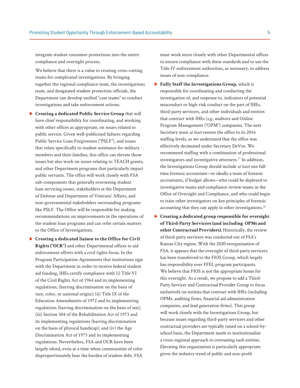<span id="page-5-0"></span>integrate student consumer protections into the entire compliance and oversight process.

We believe that there is a value to creating cross-cutting teams for complicated investigations. By bringing together the regional compliance team, the investigations team, and designated student protection officials, the Department can develop unified "case teams" to conduct investigations and take enforcement actions.

- E **Creating a dedicated Public Service Group** that will have chief responsibility for coordinating, and working with other offices as appropriate, on issues related to public service. Given well-publicized failures regarding Public Service Loan Forgiveness ("PSLF"), and issues that relate specifically to student assistance for military members and their families, this office can elevate those issues but also work on issues relating to TEACH grants, and other Department programs that particularly impact public servants. The office will work closely with FSA sub-components that generally overseeing student loan servicing issues, stakeholders at the Department of Defense and Department of Veterans' Affairs, and non-governmental stakeholders surrounding programs like PSLF. The Office will be responsible for making recommendations on improvements in the operations of the student loan programs and can refer certain matters to the Office of Investigations.
- E **Creating a dedicated liaison to the Office for Civil Rights ("OCR")** and other Departmental offices to aid enforcement efforts with a civil rights focus. In the Program Participation Agreements that institutions sign with the Department in order to receive federal student aid funding, IHEs certify compliance with (i) Title VI of the Civil Rights Act of 1964 and its implementing regulations, (barring discrimination on the basis of race, color, or national origin); (ii) Title IX of the Education Amendments of 1972 and its implementing regulations (barring discrimination on the basis of sex); (iii) Section 504 of the Rehabilitation Act of 1973 and its implementing regulations (barring discrimination on the basis of physical handicap); and (iv) the Age Discrimination Act of 1975 and its implementing regulations. Nevertheless, FSA and OCR have been largely siloed, even at a time when communities of color disproportionately bear the burden of student debt. FSA

must work more closely with other Departmental offices to ensure compliance with these standards and to use the Title IV enforcement authorities, as necessary, to address issues of non-compliance.

- **Fully Staff the Investigations Group,** which is responsible for coordinating and conducting the investigation of, and response to, indicators of potential misconduct or high-risk conduct on the part of IHEs, third-party servicers, and other individuals and entities that contract with IHEs (*e.g.*, auditors and Online Program Management ("OPM") companies. The next Secretary must *at least* restore the office to its 2016 staffing levels, as we understand that the office was effectively decimated under Secretary DeVos. We recommend staffing with a combination of professional investigators and investigative attorneys.[17](#page-8-0) In addition, the Investigations Group should include *at least* one fulltime forensic accountant—or ideally a team of forensic accountants, if budget allows—who could be deployed to investigative teams and compliance review teams in the Office of Oversight and Compliance, and who could begin to train other investigators on key principles of forensic accounting that they can apply in other investigations.<sup>18</sup>
- E **Creating a dedicated group responsible for oversight of Third-Party Servicers (and including OPMs and other Contractual Providers).** Historically, the review of third-party servicers was conducted out of FSA's Kansas City region. With the 2020 reorganization of FSA, it appears that the oversight of third-party servicers has been transferred to the FIOS Group, which largely has responsibility over FFEL program participants. We believe that FIOS is not the appropriate home for this oversight. As a result, we propose to add a Third-Party Servicer and Contractual Provider Group to focus exclusively on entities that contract with IHEs (including OPMs, auditing firms, financial aid administration companies, and lead generation firms). This group will work closely with the Investigations Group, but because issues regarding third-party servicers and other contractual providers are typically raised on a school-byschool basis, the Department needs to institutionalize a cross-regional approach to overseeing such entities. Elevating this organization is particularly appropriate given the industry trend of public and non-profit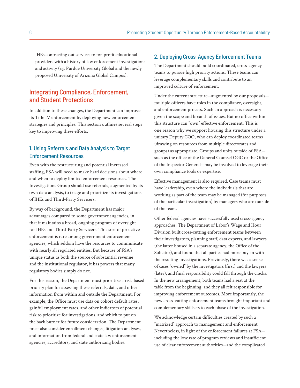IHEs contracting out services to for-profit educational providers with a history of law enforcement investigations and activity (*e.g.* Purdue University Global and the newly proposed University of Arizona Global Campus).

#### Integrating Compliance, Enforcement, and Student Protections

In addition to these changes, the Department can improve its Title IV enforcement by deploying new enforcement strategies and principles. This section outlines several steps key to improving these efforts.

#### 1. Using Referrals and Data Analysis to Target Enforcement Resources

Even with the restructuring and potential increased staffing, FSA will need to make hard decisions about where and when to deploy limited enforcement resources. The Investigations Group should use referrals, augmented by its own data analysis, to triage and prioritize its investigations of IHEs and Third-Party Servicers.

By way of background, the Department has major advantages compared to some government agencies, in that it maintains a broad, ongoing program of oversight for IHEs and Third-Party Servicers. This sort of proactive enforcement is rare among government enforcement agencies, which seldom have the resources to communicate with nearly all regulated entities. But because of FSA's unique status as both the source of substantial revenue and the institutional regulator, it has powers that many regulatory bodies simply do not.

For this reason, the Department must prioritize a risk-based priority plan for assessing these referrals, data, and other information from within and outside the Department. For example, the Office must use data on cohort default rates, gainful employment rates, and other indicators of potential risk to prioritize for investigations, and which to put on the back burner for future consideration. The Department must also consider enrollment changes, litigation analyses, and information from federal and state law enforcement agencies, accreditors, and state authorizing bodies.

#### 2. Deploying Cross-Agency Enforcement Teams

The Department should build coordinated, cross-agency teams to pursue high priority actions. These teams can leverage complementary skills and contribute to an improved culture of enforcement.

Under the current structure—augmented by our proposals multiple officers have roles in the compliance, oversight, and enforcement process. Such an approach is necessary given the scope and breadth of issues. But no office within this structure can "own" effective enforcement. This is one reason why we support housing this structure under a unitary Deputy COO, who can deploy coordinated teams (drawing on resources from multiple directorates and groups) as appropriate. Groups and units outside of FSA such as the office of the General Counsel OGC or the Office of the Inspector General—may be involved to leverage their own compliance tools or expertise.

Effective management is also required. Case teams must have leadership, even where the individuals that are working as part of the team may be managed (for purposes of the particular investigation) by managers who are outside of the team.

Other federal agencies have successfully used cross-agency approaches. The Department of Labor's Wage and Hour Division built cross-cutting enforcement teams between their investigators, planning staff, data experts, and lawyers (the latter housed in a separate agency, the Office of the Solicitor), and found that all parties had more buy-in with the resulting investigations. Previously, there was a sense of cases "owned" by the investigators (first) and the lawyers (later), and final responsibility could fall through the cracks. In the new arrangement, both teams had a seat at the table from the beginning, and they all felt responsible for improving enforcement outcomes. More importantly, the new cross-cutting enforcement teams brought important and complementary skillsets to each phase of the investigation.

We acknowledge certain difficulties created by such a "matrixed" approach to management and enforcement. Nevertheless, in light of the enforcement failures at FSA including the low rate of program reviews and insufficient use of clear enforcement authorities—and the complicated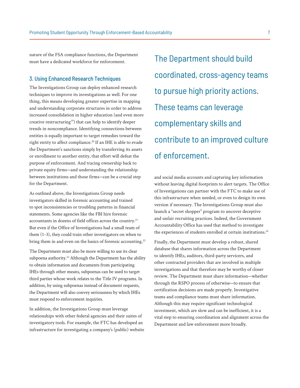<span id="page-7-0"></span>nature of the FSA compliance functions, the Department must have a dedicated workforce for enforcement.

#### 3. Using Enhanced Research Techniques

The Investigations Group can deploy enhanced research techniques to improve its investigations as well. For one thing, this means developing greater expertise in mapping and understanding corporate structures in order to address increased consolidation in higher education (and even more creative restructuring<sup>[19](#page-8-0)</sup>) that can help to identify deeper trends in noncompliance. Identifying connections between entities is equally important to target remedies toward the right entity to affect compliance.<sup>[20](#page-8-0)</sup> If an IHE is able to evade the Department's sanctions simply by transferring its assets or enrollment to another entity, that effort will defeat the purpose of enforcement. And tracing ownership back to private equity firms—and understanding the relationship between institutions and those firms—can be a crucial step for the Department.

As outlined above, the Investigations Group needs investigators skilled in forensic accounting and trained to spot inconsistencies or troubling patterns in financial statements. Some agencies like the FBI hire forensic accountants in dozens of field offices across the country.<sup>21</sup> But even if the Office of Investigations had a small team of them (1-3), they could train other investigators on when to bring them in and even on the basics of forensic accounting.<sup>[22](#page-8-0)</sup>

The Department must also be more willing to use its clear subpoena authority.<sup>[23](#page-8-0)</sup> Although the Department has the ability to obtain information and documents from participating IHEs through other means, subpoenas can be used to target third parties whose work relates to the Title IV programs. In addition, by using subpoenas instead of document requests, the Department will also convey seriousness by which IHEs must respond to enforcement inquiries.

In addition, the Investigations Group must leverage relationships with other federal agencies and their suites of investigatory tools. For example, the FTC has developed an infrastructure for investigating a company's (public) website

The Department should build coordinated, cross-agency teams to pursue high priority actions. These teams can leverage complementary skills and contribute to an improved culture of enforcement.

and social media accounts and capturing key information without leaving digital footprints to alert targets. The Office of Investigations can partner with the FTC to make use of this infrastructure when needed, or even to design its own version if necessary. The Investigations Group must also launch a "secret shopper" program to uncover deceptive and unfair recruiting practices. Indeed, the Government Accountability Office has used that method to investigate the experiences of students enrolled at certain institutions.<sup>24</sup>

Finally, the Department must develop a robust, shared database that shares information across the Department to identify IHEs, auditors, third-party servicers, and other contracted providers that are involved in multiple investigations and that therefore may be worthy of closer review. The Department must share information—whether through the RSPO process of otherwise—to ensure that certification decisions are made properly. Investigative teams and compliance teams must share information. Although this may require significant technological investment, which are slow and can be inefficient, it is a vital step to ensuring coordination and alignment across the Department and law enforcement more broadly.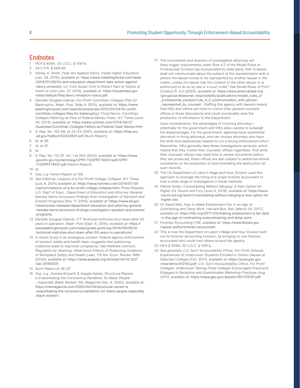#### <span id="page-8-0"></span>**Endnotes**

[1](#page-2-0) HEA § 409A, 20 U.S.C. § 1097a.

- [2](#page-2-0) 34 C.F.R. § 668.86.
- [3](#page-2-0) Ashley A. Smith, *Feds Act Against DeVry*, Inside Higher Education (Jan. 28, 2016), *available at:* [https://www.insidehighered.com/news](https://www.insidehighered.com/news/2016/01/28/ftc-and-education-department-take-action-against-devry-university) [/2016/01/28/ftc-and-education-department-take-action-against](https://www.insidehighered.com/news/2016/01/28/ftc-and-education-department-take-action-against-devry-university) [-devry-university](https://www.insidehighered.com/news/2016/01/28/ftc-and-education-department-take-action-against-devry-university); Ltr. from Susan Crim to Robert Paul re: Notice of Intent to Limit (Jan. 27, 2016), *available at:* [https://studentaid.gov](https://studentaid.gov/sites/default/files/devry-limitation-notice.pdf) [/sites/default/files/devry-limitation-notice.pdf](https://studentaid.gov/sites/default/files/devry-limitation-notice.pdf).
- [4](#page-2-0) Danielle Douglas-Gabriel, *For-Profit Corinthian Colleges Files for Bankruptcy*, Wash. Post (May 4, 2015), *available at:* [https://www.](https://www.washingtonpost.com/news/business/wp/2015/05/04/for-profit-corinthian-colleges-files-for-bankruptcy/) [washingtonpost.com/news/business/wp/2015/05/04/for-profit](https://www.washingtonpost.com/news/business/wp/2015/05/04/for-profit-corinthian-colleges-files-for-bankruptcy/)[corinthian-colleges-files-for-bankruptcy/;](https://www.washingtonpost.com/news/business/wp/2015/05/04/for-profit-corinthian-colleges-files-for-bankruptcy/) Floyd Norris, *Corinthian Colleges Faltering as Flow of Federal Money Flows*, N.Y. Times (June 26, 2014), *available at:* [https://www.nytimes.com/2014/06/27](https://www.nytimes.com/2014/06/27/business/Corinthian-Colleges-Falters-as-Federal-Cash-Wanes.html) [/business/Corinthian-Colleges-Falters-as-Federal-Cash-Wanes.html.](https://www.nytimes.com/2014/06/27/business/Corinthian-Colleges-Falters-as-Federal-Cash-Wanes.html)
- [5](#page-3-0) S. Rep. No. 102-58, at 24–25 (1991), *available at:* [https://files.eric](https://files.eric.ed.gov/fulltext/ED332631.pdf) [.ed.gov/fulltext/ED332631.pdf](https://files.eric.ed.gov/fulltext/ED332631.pdf) (Nunn Report).
- [6](#page-3-0) *Id.* at 36.
- [7](#page-3-0) *Id.* at 37.
- [8](#page-3-0) *Id.*
- [9](#page-3-0) S. Rep. No. 112-37, Vol. 1 at 205 (2012), *available at:* [https://www](https://www.govinfo.gov/content/pkg/CPRT-112SPRT74931/pdf/CPRT-112SPRT74931.pdf) [.govinfo.gov/content/pkg/CPRT-112SPRT74931/pdf/CPRT](https://www.govinfo.gov/content/pkg/CPRT-112SPRT74931/pdf/CPRT-112SPRT74931.pdf) [-112SPRT74931.pdf](https://www.govinfo.gov/content/pkg/CPRT-112SPRT74931/pdf/CPRT-112SPRT74931.pdf) (Harkin Report).
- [10](#page-3-0) *Id.*
- [11](#page-3-0) *See, e.g.* Harkin Report at 196.
- [12](#page-3-0) *See* Editorial, *Lessons of a For-Profit College Collapse*, N.Y. Times (July 8, 2014) *available at*: [https://www.nytimes.com/2014/07/09](https://www.nytimes.com/2014/07/09/opinion/lessons-of-a-for-profit-college-collapse.html) [/opinion/lessons-of-a-for-profit-college-collapse.html;](https://www.nytimes.com/2014/07/09/opinion/lessons-of-a-for-profit-college-collapse.html) Press Release, U.S. Dep't of Educ., *Department of Education and Attorney General Kamala Harris Announce Findings from Investigation of Wyotech and Everest Programs* (Nov. 17, 2015), *available at*: [https://www.ed.gov](https://www.ed.gov/news/press-releases/department-education-and-attorney-general-kamala-harris-announce-findings-investigation-wyotech-and-everest-programs) [/news/press-releases/department-education-and-attorney-general](https://www.ed.gov/news/press-releases/department-education-and-attorney-general-kamala-harris-announce-findings-investigation-wyotech-and-everest-programs) [-kamala-harris-announce-findings-investigation-wyotech-and-everest](https://www.ed.gov/news/press-releases/department-education-and-attorney-general-kamala-harris-announce-findings-investigation-wyotech-and-everest-programs) [-programs](https://www.ed.gov/news/press-releases/department-education-and-attorney-general-kamala-harris-announce-findings-investigation-wyotech-and-everest-programs).
- [13](#page-3-0) Danielle Douglas-Gabriel, *ITT Technical Institutes shut down after 50 years in operation*, Wash. Post (Sept. 6, 2016), *available at*: [https://](https://www.washingtonpost.com/news/grade-point/wp/2016/09/06/itt-technical-institutes-shut-down-after-50-years-in-operations/) [www.washingtonpost.com/news/grade-point/wp/2016/09/06/itt](https://www.washingtonpost.com/news/grade-point/wp/2016/09/06/itt-technical-institutes-shut-down-after-50-years-in-operations/) [-technical-institutes-shut-down-after-50-years-in-operations/](https://www.washingtonpost.com/news/grade-point/wp/2016/09/06/itt-technical-institutes-shut-down-after-50-years-in-operations/).
- [14](#page-3-0) A recent study in an analogous context—federal agency enforcement of workers' safety and health laws—suggests that publicizing violations leads to improved compliance. *See* Matthew Johnson, *Regulation by Shaming: Deterrence Effects of Publicizing Violations of Workplace Safety and Health Laws*, 110 Am. Econ. Review 1866 (2020); *available at:* [https://www.aeaweb.org/articles?id=10.1257](https://www.aeaweb.org/articles?id=10.1257/aer.20180501) [/aer.20180501](https://www.aeaweb.org/articles?id=10.1257/aer.20180501).
- [15](#page-3-0) Nunn Report at 36–37.
- [16](#page-4-0) *See, e.g.*, Kendra Bozarth & Angela Hanks, *Structural Racism is Exacerbating the Coronavirus Pandemic for Black People – Especially Black Women*, Ms. Magazine (Apr. 9, 2020), *available at:*  [https://msmagazine.com/2020/04/09/structural-racism-is](https://msmagazine.com/2020/04/09/structural-racism-is-exacerbating-the-coronavirus-pandemic-for-black-people-especially-black-women/) [-exacerbating-the-coronavirus-pandemic-for-black-people-especially](https://msmagazine.com/2020/04/09/structural-racism-is-exacerbating-the-coronavirus-pandemic-for-black-people-especially-black-women/) [-black-women/.](https://msmagazine.com/2020/04/09/structural-racism-is-exacerbating-the-coronavirus-pandemic-for-black-people-especially-black-women/)

[17](#page-5-0) The involvement and direction of investigative attorneys will likely trigger requirements under Rule 4.2 of the Model Rules of Professional Conduct (as incorporated by state bars), that "a lawyer shall not communicate about the subject of the representation with a person the lawyer knows to be represented by another lawyer in the matter, unless the lawyer has the consent of the other lawyer or is authorized to do so by law or a court order." *See* Model Rules of Prof'l Conduct R. 4.2 (2020), *available at:* [https://www.americanbar.org](https://www.americanbar.org/groups/professional_responsibility/publications/model_rules_of_professional_conduct/rule_4_2_communication_with_person_represented_by_counsel/) [/groups/professional\\_responsibility/publications/model\\_rules\\_of](https://www.americanbar.org/groups/professional_responsibility/publications/model_rules_of_professional_conduct/rule_4_2_communication_with_person_represented_by_counsel/) [\\_professional\\_conduct/rule\\_4\\_2\\_communication\\_with\\_person](https://www.americanbar.org/groups/professional_responsibility/publications/model_rules_of_professional_conduct/rule_4_2_communication_with_person_represented_by_counsel/) [\\_represented\\_by\\_counsel/](https://www.americanbar.org/groups/professional_responsibility/publications/model_rules_of_professional_conduct/rule_4_2_communication_with_person_represented_by_counsel/). Staffing this agency with lawyers means that IHEs and others will need to involve their general counsels' offices in these discussions and could conceivably slow the production of information to the Department.

Upon consideration, the advantages of involving attorneys potentially for the government and IHEs alike—seems to outweigh the disadvantages. For the government, agencies have substantial discretion in hiring attorneys, and can choose attorneys who have the skills and experiences needed to run a strong enforcement effort. Meanwhile, IHEs generally take these investigations seriously, which means that they involve their counsels' offices regardless. And while their counsels' offices may need time to review documents before they are produced, these offices are also subject to additional ethical constraints on the production of (and forbidding the destruction of) such records

- [18](#page-5-0) The US Department of Labor's Wage and Hour Division used this approach to leverage the hiring of a single forensic accountant to train a wide range of investigators in these methods.
- [19](#page-7-0) Patrick Nolan, *Consolidating Without Merging: A New Option for Higher Ed,* Sound and Fury (June 4, 2018), *available at:* [https://www](https://www.future-ed.org/work/consolidating-without-merging-a-new-option-for-higher-ed/) [.future-ed.org/work/consolidating-without-merging-a-new-option-for](https://www.future-ed.org/work/consolidating-without-merging-a-new-option-for-higher-ed/) [-higher-ed/.](https://www.future-ed.org/work/consolidating-without-merging-a-new-option-for-higher-ed/)
- [20](#page-7-0) *Cf.* David Weil, *How to Make Employment Fair in an Age of Contracting and Temp Work*, Harvard Bus. Rev. (March 24, 2017), *available at:* [https://hbr.org/2017/03/making-employment-a-fair-deal](https://hbr.org/2017/03/making-employment-a-fair-deal-in-the-age-of-contracting-subcontracting-and-temp-work) [-in-the-age-of-contracting-subcontracting-and-temp-work.](https://hbr.org/2017/03/making-employment-a-fair-deal-in-the-age-of-contracting-subcontracting-and-temp-work)
- [21](#page-7-0) Forensic Accounting | FBI, *available at:* [https://www.fbijobs.gov](https://www.fbijobs.gov/career-paths/forensic-accountant) [/career-paths/forensic-accountant](https://www.fbijobs.gov/career-paths/forensic-accountant).
- [22](#page-7-0) This is how the Department of Labor's Wage and Hour Division built out its forensic accounting function, by bringing on one forensic accountant who could train others around the agency.
- [23](#page-7-0) HEA § 409A, 20 U.S.C. § 1097a.
- [24](#page-7-0) *See generally* U.S. Gov't Accountability Office, *For-Profit Schools: Experiences of Undercover Students Enrolled in Online Classes at Selected Colleges* (Oct. 2011), *available at*: [https://www.gao.gov](https://www.gao.gov/new.items/d12150.pdf) [/new.items/d12150.pdf;](https://www.gao.gov/new.items/d12150.pdf) U.S. Gov't Accountability Office, *For Profit Colleges: Undercover Testing Finds Colleges Encouraged Fraud and Engaged in Deceptive and Questionable Marketing Practices* (Aug. 2010), *available at*: [https://www.gao.gov/assets/130/125197.pdf.](https://www.gao.gov/assets/130/125197.pdf)